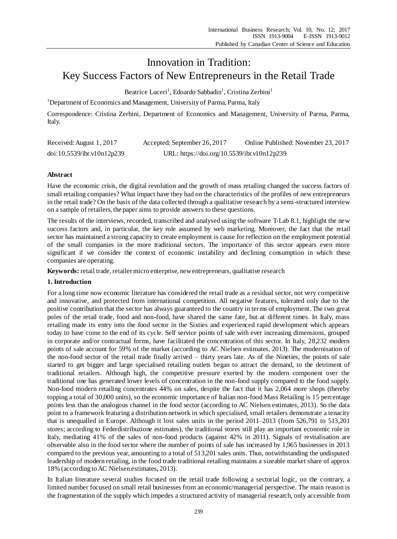# Innovation in Tradition: Key Success Factors of New Entrepreneurs in the Retail Trade

Beatrice Luceri<sup>1</sup>, Edoardo Sabbadin<sup>1</sup>, Cristina Zerbini<sup>1</sup>

<sup>1</sup>Department of Economics and Management, University of Parma, Parma, Italy

Correspondence: Cristina Zerbini, Department of Economics and Management, University of Parma, Parma, Italy.

| Received: August 1, 2017   | Accepted: September 26, 2017                | Online Published: November 23, 2017 |
|----------------------------|---------------------------------------------|-------------------------------------|
| doi:10.5539/ibr.v10n12p239 | URL: https://doi.org/10.5539/ibr.v10n12p239 |                                     |

# **Abstract**

Have the economic crisis, the digital revolution and the growth of mass retailing changed the success factors of small retailing companies? What impact have they had on the characteristics of the profiles of new entrepreneurs in the retail trade? On the basis of the data collected through a qualitative research by a semi-structured interview on a sample of retailers, the paper aims to provide answers to these questions.

The results of the interviews, recorded, transcribed and analysed using the software T-Lab 8.1, highlight the new success factors and, in particular, the key role assumed by web marketing. Moreover, the fact that the retail sector has maintained a strong capacity to create employment is cause for reflection on the employment potential of the small companies in the more traditional sectors. The importance of this sector appears even more significant if we consider the context of economic instability and declining consumption in which these companies are operating.

**Keywords:** retail trade, retailer micro enterprise, new entrepreneurs, qualitative research

# **1. Introduction**

For a long time now economic literature has considered the retail trade as a residual sector, not very competitive and innovative, and protected from international competition. All negative features, tolerated only due to the positive contribution that the sector has always guaranteed to the country in terms of employment. The two great poles of the retail trade, food and non-food, have shared the same fate, but at different times. In Italy, mass retailing made its entry into the food sector in the Sixties and experienced rapid development which appears today to have come to the end of its cycle. Self service points of sale with ever increasing dimensions, grouped in corporate and/or contractual forms, have facilitated the concentration of this sector. In Italy, 28,232 modern points of sale account for 59% of the market (according to AC Nielsen estimates, 2013). The modernisation of the non-food sector of the retail trade finally arrived – thirty years late. As of the Nineties, the points of sale started to get bigger and large specialised retailing outlets began to attract the demand, to the detriment of traditional retailers. Although high, the competitive pressure exerted by the modern component over the traditional one has generated lower levels of concentration in the non-food supply compared to the food supply. Non-food modern retailing concentrates 44% on sales, despite the fact that it has 2,064 more shops (thereby topping a total of 30,000 units), so the economic importance of Italian non-food Mass Retailing is 15 percentage points less than the analogous channel in the food sector (according to AC Nielsen estimates, 2013). So the data point to a framework featuring a distribution network in which specialised, small retailers demonstrate a tenacity that is unequalled in Europe. Although it lost sales units in the period 2011–2013 (from 526,791 to 513,201 stores; according to Federdistribuzione estimates), the traditional stores still play an important economic role in Italy, mediating 41% of the sales of non-food products (against 42% in 2011). Signals of revitalisation are observable also in the food sector where the number of points of sale has increased by 1,965 businesses in 2013 compared to the previous year, amounting to a total of 513,201 sales units. Thus, notwithstanding the undisputed leadership of modern retailing, in the food trade traditional retailing maintains a sizeable market share of approx 18% (according to AC Nielsen estimates, 2013).

In Italian literature several studies focused on the retail trade following a sectorial logic, on the contrary, a limited number focused on small retail businesses from an economic/managerial perspective. The main reason is the fragmentation of the supply which impedes a structured activity of managerial research, only accessible from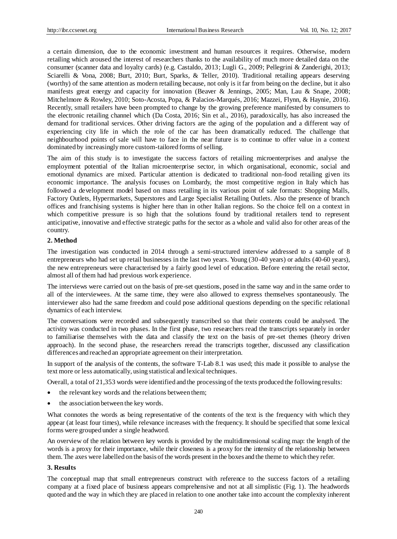a certain dimension, due to the economic investment and human resources it requires. Otherwise, modern retailing which aroused the interest of researchers thanks to the availability of much more detailed data on the consumer (scanner data and loyalty cards) (e.g. Castaldo, 2013; Lugli G., 2009; Pellegrini & Zanderighi, 2013; Sciarelli & Vona, 2008; Burt, 2010; Burt, Sparks, & Teller, 2010). Traditional retailing appears deserving (worthy) of the same attention as modern retailing because, not only is it far from being on the decline, but it also manifests great energy and capacity for innovation (Beaver & Jennings, 2005; Man, Lau & Snape, 2008; Mitchelmore & Rowley, 2010; Soto-Acosta, Popa, & Palacios-Marqués, 2016; Mazzei, Flynn, & Haynie, 2016). Recently, small retailers have been prompted to change by the growing preference manifested by consumers to the electronic retailing channel which (Da Costa, 2016; Sin et al., 2016), paradoxically, has also increased the demand for traditional services. Other driving factors are the aging of the population and a different way of experiencing city life in which the role of the car has been dramatically reduced. The challenge that neighbourhood points of sale will have to face in the near future is to continue to offer value in a context dominated by increasingly more custom-tailored forms of selling.

The aim of this study is to investigate the success factors of retailing microenterprises and analyse the employment potential of the Italian microenterprise sector, in which organisational, economic, social and emotional dynamics are mixed. Particular attention is dedicated to traditional non-food retailing given its economic importance. The analysis focuses on Lombardy, the most competitive region in Italy which has followed a development model based on mass retailing in its various point of sale formats: Shopping Malls, Factory Outlets, Hypermarkets, Superstores and Large Specialist Retailing Outlets. Also the presence of branch offices and franchising systems is higher here than in other Italian regions. So the choice fell on a context in which competitive pressure is so high that the solutions found by traditional retailers tend to represent anticipative, innovative and effective strategic paths for the sector as a whole and valid also for other areas of the country.

## **2. Method**

The investigation was conducted in 2014 through a semi-structured interview addressed to a sample of 8 entrepreneurs who had set up retail businesses in the last two years. Young (30-40 years) or adults (40-60 years), the new entrepreneurs were characterised by a fairly good level of education. Before entering the retail sector, almost all of them had had previous work experience.

The interviews were carried out on the basis of pre-set questions, posed in the same way and in the same order to all of the interviewees. At the same time, they were also allowed to express themselves spontaneously. The interviewer also had the same freedom and could pose additional questions depending on the specific relational dynamics of each interview.

The conversations were recorded and subsequently transcribed so that their contents could be analysed. The activity was conducted in two phases. In the first phase, two researchers read the transcripts separately in order to familiarise themselves with the data and classify the text on the basis of pre-set themes (theory driven approach). In the second phase, the researchers reread the transcripts together, discussed any classification differences and reached an appropriate agreement on their interpretation.

In support of the analysis of the contents, the software T-Lab 8.1 was used; this made it possible to analyse the text more or less automatically, using statistical and lexical techniques.

Overall, a total of 21,353 words were identified and the processing of the texts produced the following results:

- the relevant key words and the relations between them;
- the association between the key words.

What connotes the words as being representative of the contents of the text is the frequency with which they appear (at least four times), while relevance increases with the frequency. It should be specified that some lexical forms were grouped under a single headword.

An overview of the relation between key words is provided by the multidimensional scaling map: the length of the words is a proxy for their importance, while their closeness is a proxy for the intensity of the relationship between them. The axes were labelled on the basis of the words present in the boxes and the theme to which they refer.

## **3. Results**

The conceptual map that small entrepreneurs construct with reference to the success factors of a retailing company at a fixed place of business appears comprehensive and not at all simplistic (Fig. 1). The headwords quoted and the way in which they are placed in relation to one another take into account the complexity inherent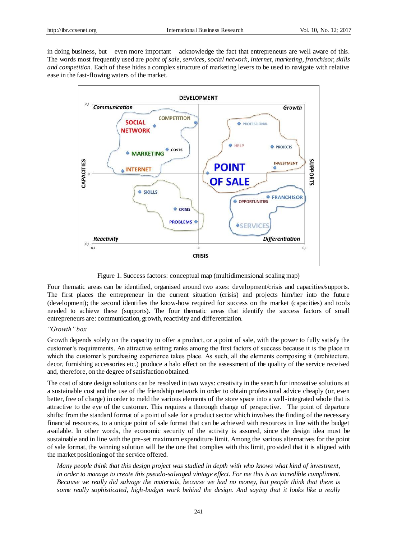in doing business, but – even more important – acknowledge the fact that entrepreneurs are well aware of this. The words most frequently used are *point of sale, services, social network, internet, marketing, franchisor, skills and competition*. Each of these hides a complex structure of marketing levers to be used to navigate with relative ease in the fast-flowing waters of the market.



Figure 1. Success factors: conceptual map (multidimensional scaling map)

Four thematic areas can be identified, organised around two axes: development/crisis and capacities/supports. The first places the entrepreneur in the current situation (crisis) and projects him/her into the future (development); the second identifies the know-how required for success on the market (capacities) and tools needed to achieve these (supports). The four thematic areas that identify the success factors of small entrepreneurs are: communication, growth, reactivity and differentiation.

#### *"Growth" box*

Growth depends solely on the capacity to offer a product, or a point of sale, with the power to fully satisfy the customer's requirements. An attractive setting ranks among the first factors of success because it is the place in which the customer's purchasing experience takes place. As such, all the elements composing it (architecture, decor, furnishing accessories etc.) produce a halo effect on the assessment of the quality of the service received and, therefore, on the degree of satisfaction obtained.

The cost of store design solutions can be resolved in two ways: creativity in the search for innovative solutions at a sustainable cost and the use of the friendship network in order to obtain professional advice cheaply (or, even better, free of charge) in order to meld the various elements of the store space into a well-integrated whole that is attractive to the eye of the customer. This requires a thorough change of perspective. The point of departure shifts: from the standard format of a point of sale for a product sector which involves the finding of the necessary financial resources, to a unique point of sale format that can be achieved with resources in line with the budget available. In other words, the economic security of the activity is assured, since the design idea must be sustainable and in line with the pre-set maximum expenditure limit. Among the various alternatives for the point of sale format, the winning solution will be the one that complies with this limit, provided that it is aligned with the market positioning of the service offered.

*Many people think that this design project was studied in depth with who knows what kind of investment, in order to manage to create this pseudo-salvaged vintage effect. For me this is an incredible compliment. Because we really did salvage the materials, because we had no money, but people think that there is some really sophisticated, high-budget work behind the design. And saying that it looks like a really*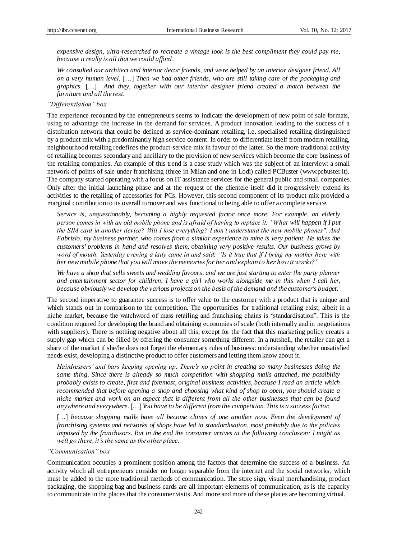*expensive design, ultra-researched to recreate a vintage look is the best compliment they could pay me, because it really is all that we could afford*.

*We consulted our architect and interior decor friends, and were helped by an interior designer friend. All on a very human level.* […] *Then we had other friends, who are still taking care of the packaging and graphics.* […] *And they, together with our interior designer friend created a match between the furniture and all the rest.*

## *"Differentiation" box*

The experience recounted by the entrepreneurs seems to indicate the development of new point of sale formats, using to advantage the increase in the demand for services. A product innovation leading to the success of a distribution network that could be defined as service-dominant retailing, i.e. specialised retailing distinguished by a product mix with a predominantly high service content. In order to differentiate itself from modern retailing, neighbourhood retailing redefines the product-service mix in favour of the latter. So the more traditional activity of retailing becomes secondary and ancillary to the provision of new services which become the core business of the retailing companies. An example of this trend is a case study which was the subject of an interview: a small network of points of sale under franchising (three in Milan and one in Lodi) called PCBuster (www.pcbuster.it). The company started operating with a focus on IT assistance services for the general public and small companies. Only after the initial launching phase and at the request of the clientele itself did it progressively extend its activities to the retailing of accessories for PCs. However, this second component of its product mix provided a marginal contribution to its overall turnover and was functional to being able to offer a complete service.

*Service is, unquestionably, becoming a highly requested factor once more. For example, an elderly person comes in with an old mobile phone and is afraid of having to replace it: "What will happen if I put the SIM card in another device? Will I lose everything? I don't understand the new mobile phones". And Fabrizio, my business partner, who comes from a similar experience to mine is very patient. He takes the customers' problems in hand and resolves them, obtaining very positive results. Our business grows by word of mouth. Yesterday evening a lady came in and said: "Is it true that if I bring my mother here with her new mobile phone that you will move the memories for her and explain to her how it works?"*

*We have a shop that sells sweets and wedding favours, and we are just starting to enter the party planner and entertainment sector for children. I have a girl who works alongside me in this when I call her, because obviously we develop the various projects on the basis of the demand and the customer's budget.*

The second imperative to guarantee success is to offer value to the customer with a product that is unique and which stands out in comparison to the competition. The opportunities for traditional retailing exist, albeit in a niche market, because the watchword of mass retailing and franchising chains is "standardisation". This is the condition required for developing the brand and obtaining economies of scale (both internally and in negotiations with suppliers). There is nothing negative about all this, except for the fact that this marketing policy creates a supply gap which can be filled by offering the consumer something different. In a nutshell, the retailer can get a share of the market if she/he does not forget the elementary rules of business: understanding whether unsatisfied needs exist, developing a distinctive product to offer customers and letting them know about it.

*Hairdressers' and bars keeping opening up. There's no point in creating so many businesses doing the same thing. Since there is already so much competition with shopping malls attached, the possibility probably exists to create, first and foremost, original business activities, because I read an article which recommended that before opening a shop and choosing what kind of shop to open, you should create a niche market and work on an aspect that is different from all the other businesses that can be found anywhere and everywhere.* […] *You have to be different from the competition. This is a success factor.*

[...] *because shopping malls have all become clones of one another now. Even the development of franchising systems and networks of shops have led to standardisation, most probably due to the policies imposed by the franchisors. But in the end the consumer arrives at the following conclusion: I might as well go there, it's the same as the other place.*

## *"Communication" box*

Communication occupies a prominent position among the factors that determine the success of a business. An activity which all entrepreneurs consider no longer separable from the internet and the social networks*,* which must be added to the more traditional methods of communication. The store sign, visual merchandising, product packaging, the shopping bag and business cards are all important elements of communication, as is the capacity to communicate in the places that the consumer visits. And more and more of these places are becoming virtual.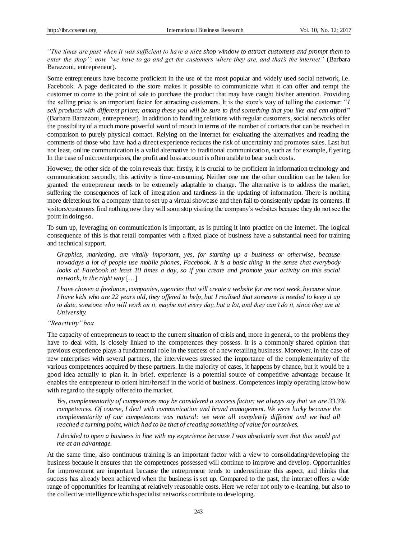*"The times are past when it was sufficient to have a nice shop window to attract customers and prompt them to enter the shop"; now "we have to go and get the customers where they are, and that's the internet"* (Barbara Barazzoni, entrepreneur)*.* 

Some entrepreneurs have become proficient in the use of the most popular and widely used social network, i.e. Facebook. A page dedicated to the store makes it possible to communicate what it can offer and tempt the customer to come to the point of sale to purchase the product that may have caught his/her attention. Providing the selling price is an important factor for attracting customers. It is the store's way of telling the customer: "*I sell products with different prices; among these you will be sure to find something that you like and can afford* " (Barbara Barazzoni, entrepreneur). In addition to handling relations with regular customers, social networks offer the possibility of a much more powerful word of mouth in terms of the number of contacts that can be reached in comparison to purely physical contact. Relying on the internet for evaluating the alternatives and reading the comments of those who have had a direct experience reduces the risk of uncertainty and promotes sales. Last but not least, online communication is a valid alternative to traditional communication, such as for example, flyering. In the case of microenterprises, the profit and loss account is often unable to bear such costs.

However, the other side of the coin reveals that: firstly, it is crucial to be proficient in information technology and communication; secondly, this activity is time-consuming. Neither one nor the other condition can be taken for granted: the entrepreneur needs to be extremely adaptable to change. The alternative is to address the market, suffering the consequences of lack of integration and tardiness in the updating of information. There is nothing more deleterious for a company than to set up a virtual showcase and then fail to consistently update its contents. If visitors/customers find nothing new they will soon stop visiting the company's websites because they do not see the point in doing so.

To sum up, leveraging on communication is important, as is putting it into practice on the internet. The logical consequence of this is that retail companies with a fixed place of business have a substantial need for training and technical support.

*Graphics, marketing, are vitally important, yes, for starting up a business or otherwise, because nowadays a lot of people use mobile phones, Facebook. It is a basic thing in the sense that everybody looks at Facebook at least 10 times a day, so if you create and promote your activity on this social network, in the right way* […]

*I have chosen a freelance, companies, agencies that will create a website for me next week, because since I have kids who are 22 years old, they offered to help, but I realised that someone is needed to keep it up*  to date, someone who will work on it, maybe not every day, but a lot, and they can't do it, since they are at *University.*

## *"Reactivity" box*

The capacity of entrepreneurs to react to the current situation of crisis and, more in general, to the problems they have to deal with, is closely linked to the competences they possess. It is a commonly shared opinion that previous experience plays a fundamental role in the success of a new retailing business. Moreover, in the case of new enterprises with several partners, the interviewees stressed the importance of the complementarity of the various competences acquired by these partners. In the majority of cases, it happens by chance, but it would be a good idea actually to plan it. In brief, experience is a potential source of competitive advantage because it enables the entrepreneur to orient him/herself in the world of business. Competences imply operating know-how with regard to the supply offered to the market.

*Yes, complementarity of competences may be considered a success factor: we always say that we are 33.3% competences. Of course, I deal with communication and brand management. We were lucky because the complementarity of our competences was natural: we were all completely different and we had all reached a turning point, which had to be that of creating something of value for ourselves.*

*I decided to open a business in line with my experience because I was absolutely sure that this would put me at an advantage.*

At the same time, also continuous training is an important factor with a view to consolidating/developing the business because it ensures that the competences possessed will continue to improve and develop. Opportunities for improvement are important because the entrepreneur tends to underestimate this aspect, and thinks that success has already been achieved when the business is set up. Compared to the past, the internet offers a wide range of opportunities for learning at relatively reasonable costs. Here we refer not only to e-learning, but also to the collective intelligence which specialist networks contribute to developing.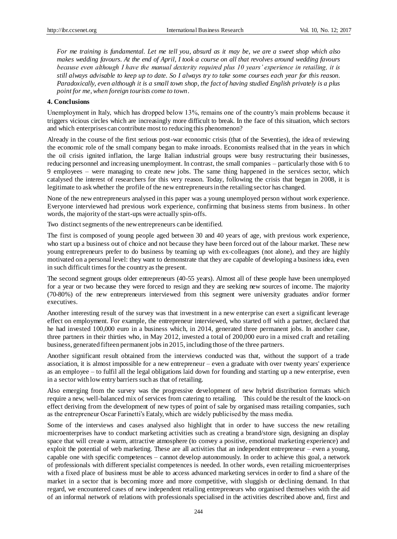*For me training is fundamental. Let me tell you, absurd as it may be, we are a sweet shop which also makes wedding favours. At the end of April, I took a course on all that revolves around wedding favours because even although I have the manual dexterity required plus 10 years' experience in retailing, it is still always advisable to keep up to date. So I always try to take some courses each year for this reason. Paradoxically, even although it is a small town shop, the fact of having studied English privately is a plus point for me, when foreign tourists come to town.*

## **4. Conclusions**

Unemployment in Italy, which has dropped below 13%, remains one of the country's main problems because it triggers vicious circles which are increasingly more difficult to break. In the face of this situation, which sectors and which enterprises can contribute most to reducing this phenomenon?

Already in the course of the first serious post-war economic crisis (that of the Seventies), the idea of reviewing the economic role of the small company began to make inroads. Economists realised that in the years in which the oil crisis ignited inflation, the large Italian industrial groups were busy restructuring their businesses, reducing personnel and increasing unemployment. In contrast, the small companies – particularly those with 6 to 9 employees – were managing to create new jobs. The same thing happened in the services sector, which catalysed the interest of researchers for this very reason. Today, following the crisis that began in 2008, it is legitimate to ask whether the profile of the new entrepreneurs in the retailing sector has changed.

None of the new entrepreneurs analysed in this paper was a young unemployed person without work experience. Everyone interviewed had previous work experience, confirming that business stems from business. In other words, the majority of the start-ups were actually spin-offs.

Two distinct segments of the new entrepreneurs can be identified.

The first is composed of young people aged between 30 and 40 years of age, with previous work experience, who start up a business out of choice and not because they have been forced out of the labour market. These new young entrepreneurs prefer to do business by teaming up with ex-colleagues (not alone), and they are highly motivated on a personal level: they want to demonstrate that they are capable of developing a business idea, even in such difficult times for the country as the present.

The second segment groups older entrepreneurs (40-55 years). Almost all of these people have been unemployed for a year or two because they were forced to resign and they are seeking new sources of income. The majority (70-80%) of the new entrepreneurs interviewed from this segment were university graduates and/or former executives.

Another interesting result of the survey was that investment in a new enterprise can exert a significant leverage effect on employment. For example, the entrepreneur interviewed, who started off with a partner, declared that he had invested 100,000 euro in a business which, in 2014, generated three permanent jobs. In another case, three partners in their thirties who, in May 2012, invested a total of 200,000 euro in a mixed craft and retailing business, generated fifteen permanent jobs in 2015, including those of the three partners.

Another significant result obtained from the interviews conducted was that, without the support of a trade association, it is almost impossible for a new entrepreneur – even a graduate with over twenty years' experience as an employee – to fulfil all the legal obligations laid down for founding and starting up a new enterprise, even in a sector with low entry barriers such as that of retailing.

Also emerging from the survey was the progressive development of new hybrid distribution formats which require a new, well-balanced mix of services from catering to retailing. This could be the result of the knock-on effect deriving from the development of new types of point of sale by organised mass retailing companies, such as the entrepreneur Oscar Farinetti's Eataly, which are widely publicised by the mass media.

Some of the interviews and cases analysed also highlight that in order to have success the new retailing microenterprises have to conduct marketing activities such as creating a brand/store sign, designing an display space that will create a warm, attractive atmosphere (to convey a positive, emotional marketing experience) and exploit the potential of web marketing. These are all activities that an independent entrepreneur – even a young, capable one with specific competences – cannot develop autonomously. In order to achieve this goal, a network of professionals with different specialist competences is needed. In other words, even retailing microenterprises with a fixed place of business must be able to access advanced marketing services in order to find a share of the market in a sector that is becoming more and more competitive, with sluggish or declining demand. In that regard, we encountered cases of new independent retailing entrepreneurs who organised themselves with the aid of an informal network of relations with professionals specialised in the activities described above and, first and